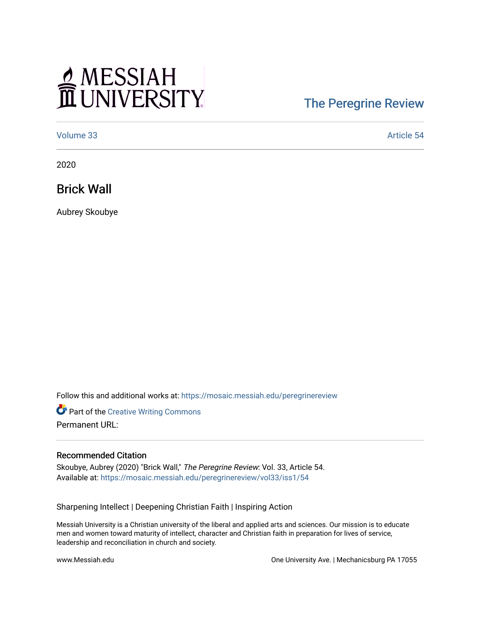## MESSIAH

## [The Peregrine Review](https://mosaic.messiah.edu/peregrinereview)

[Volume 33](https://mosaic.messiah.edu/peregrinereview/vol33) Article 54

2020

Brick Wall

Aubrey Skoubye

Follow this and additional works at: [https://mosaic.messiah.edu/peregrinereview](https://mosaic.messiah.edu/peregrinereview?utm_source=mosaic.messiah.edu%2Fperegrinereview%2Fvol33%2Fiss1%2F54&utm_medium=PDF&utm_campaign=PDFCoverPages) 

Part of the [Creative Writing Commons](http://network.bepress.com/hgg/discipline/574?utm_source=mosaic.messiah.edu%2Fperegrinereview%2Fvol33%2Fiss1%2F54&utm_medium=PDF&utm_campaign=PDFCoverPages)  Permanent URL:

## Recommended Citation

Skoubye, Aubrey (2020) "Brick Wall," The Peregrine Review: Vol. 33, Article 54. Available at: [https://mosaic.messiah.edu/peregrinereview/vol33/iss1/54](https://mosaic.messiah.edu/peregrinereview/vol33/iss1/54?utm_source=mosaic.messiah.edu%2Fperegrinereview%2Fvol33%2Fiss1%2F54&utm_medium=PDF&utm_campaign=PDFCoverPages)

Sharpening Intellect | Deepening Christian Faith | Inspiring Action

Messiah University is a Christian university of the liberal and applied arts and sciences. Our mission is to educate men and women toward maturity of intellect, character and Christian faith in preparation for lives of service, leadership and reconciliation in church and society.

www.Messiah.edu One University Ave. | Mechanicsburg PA 17055